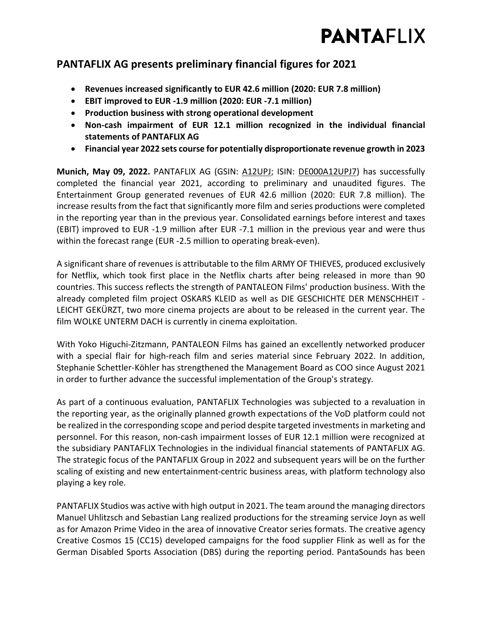

### **PANTAFLIX AG presents preliminary financial figures for 2021**

- **Revenues increased significantly to EUR 42.6 million (2020: EUR 7.8 million)**
- **EBIT improved to EUR -1.9 million (2020: EUR -7.1 million)**
- **Production business with strong operational development**
- **Non-cash impairment of EUR 12.1 million recognized in the individual financial statements of PANTAFLIX AG**
- **Financial year 2022 sets course for potentially disproportionate revenue growth in 2023**

**Munich, May 09, 2022.** PANTAFLIX AG (GSIN: [A12UPJ;](https://www.boerse-frankfurt.de/equity/pantaflix-ag) ISIN: [DE000A12UPJ7\)](https://www.boerse-frankfurt.de/equity/pantaflix-ag) has successfully completed the financial year 2021, according to preliminary and unaudited figures. The Entertainment Group generated revenues of EUR 42.6 million (2020: EUR 7.8 million). The increase results from the fact that significantly more film and series productions were completed in the reporting year than in the previous year. Consolidated earnings before interest and taxes (EBIT) improved to EUR -1.9 million after EUR -7.1 million in the previous year and were thus within the forecast range (EUR -2.5 million to operating break-even).

A significant share of revenues is attributable to the film ARMY OF THIEVES, produced exclusively for Netflix, which took first place in the Netflix charts after being released in more than 90 countries. This success reflects the strength of PANTALEON Films' production business. With the already completed film project OSKARS KLEID as well as DIE GESCHICHTE DER MENSCHHEIT - LEICHT GEKÜRZT, two more cinema projects are about to be released in the current year. The film WOLKE UNTERM DACH is currently in cinema exploitation.

With Yoko Higuchi-Zitzmann, PANTALEON Films has gained an excellently networked producer with a special flair for high-reach film and series material since February 2022. In addition, Stephanie Schettler-Köhler has strengthened the Management Board as COO since August 2021 in order to further advance the successful implementation of the Group's strategy.

As part of a continuous evaluation, PANTAFLIX Technologies was subjected to a revaluation in the reporting year, as the originally planned growth expectations of the VoD platform could not be realized in the corresponding scope and period despite targeted investments in marketing and personnel. For this reason, non-cash impairment losses of EUR 12.1 million were recognized at the subsidiary PANTAFLIX Technologies in the individual financial statements of PANTAFLIX AG. The strategic focus of the PANTAFLIX Group in 2022 and subsequent years will be on the further scaling of existing and new entertainment-centric business areas, with platform technology also playing a key role.

PANTAFLIX Studios was active with high output in 2021. The team around the managing directors Manuel Uhlitzsch and Sebastian Lang realized productions for the streaming service Joyn as well as for Amazon Prime Video in the area of innovative Creator series formats. The creative agency Creative Cosmos 15 (CC15) developed campaigns for the food supplier Flink as well as for the German Disabled Sports Association (DBS) during the reporting period. PantaSounds has been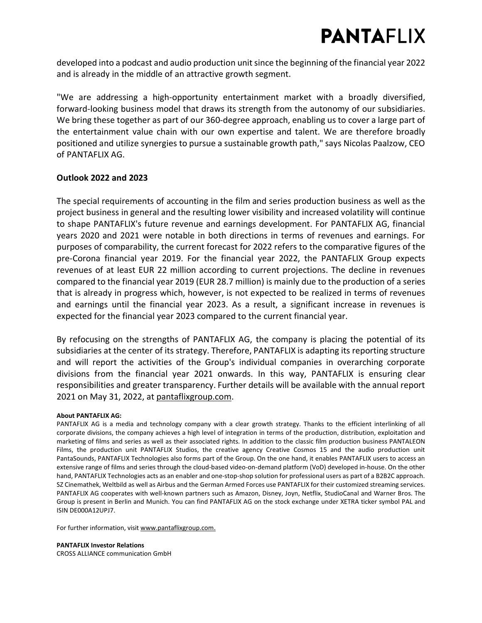# **PANTAFLIX**

developed into a podcast and audio production unit since the beginning of the financial year 2022 and is already in the middle of an attractive growth segment.

"We are addressing a high-opportunity entertainment market with a broadly diversified, forward-looking business model that draws its strength from the autonomy of our subsidiaries. We bring these together as part of our 360-degree approach, enabling us to cover a large part of the entertainment value chain with our own expertise and talent. We are therefore broadly positioned and utilize synergies to pursue a sustainable growth path," says Nicolas Paalzow, CEO of PANTAFLIX AG.

#### **Outlook 2022 and 2023**

The special requirements of accounting in the film and series production business as well as the project business in general and the resulting lower visibility and increased volatility will continue to shape PANTAFLIX's future revenue and earnings development. For PANTAFLIX AG, financial years 2020 and 2021 were notable in both directions in terms of revenues and earnings. For purposes of comparability, the current forecast for 2022 refers to the comparative figures of the pre-Corona financial year 2019. For the financial year 2022, the PANTAFLIX Group expects revenues of at least EUR 22 million according to current projections. The decline in revenues compared to the financial year 2019 (EUR 28.7 million) is mainly due to the production of a series that is already in progress which, however, is not expected to be realized in terms of revenues and earnings until the financial year 2023. As a result, a significant increase in revenues is expected for the financial year 2023 compared to the current financial year.

By refocusing on the strengths of PANTAFLIX AG, the company is placing the potential of its subsidiaries at the center of its strategy. Therefore, PANTAFLIX is adapting its reporting structure and will report the activities of the Group's individual companies in overarching corporate divisions from the financial year 2021 onwards. In this way, PANTAFLIX is ensuring clear responsibilities and greater transparency. Further details will be available with the annual report 2021 on May 31, 2022, at [pantaflixgroup.com.](http://pantaflixgroup.com/)

#### **About PANTAFLIX AG:**

PANTAFLIX AG is a media and technology company with a clear growth strategy. Thanks to the efficient interlinking of all corporate divisions, the company achieves a high level of integration in terms of the production, distribution, exploitation and marketing of films and series as well as their associated rights. In addition to the classic film production business PANTALEON Films, the production unit PANTAFLIX Studios, the creative agency Creative Cosmos 15 and the audio production unit PantaSounds, PANTAFLIX Technologies also forms part of the Group. On the one hand, it enables PANTAFLIX users to access an extensive range of films and series through the cloud-based video-on-demand platform (VoD) developed in-house. On the other hand, PANTAFLIX Technologies acts as an enabler and one-stop-shop solution for professional users as part of a B2B2C approach. SZ Cinemathek, Weltbild as well as Airbus and the German Armed Forces use PANTAFLIX for their customized streaming services. PANTAFLIX AG cooperates with well-known partners such as Amazon, Disney, Joyn, Netflix, StudioCanal and Warner Bros. The Group is present in Berlin and Munich. You can find PANTAFLIX AG on the stock exchange under XETRA ticker symbol PAL and ISIN [DE000A12UPJ7.](https://www.boerse-frankfurt.de/equity/pantaflix-ag)

For further information, visit [www.pantaflixgroup.com.](https://www.pantaflixgroup.com/)

**PANTAFLIX Investor Relations** CROSS ALLIANCE communication GmbH